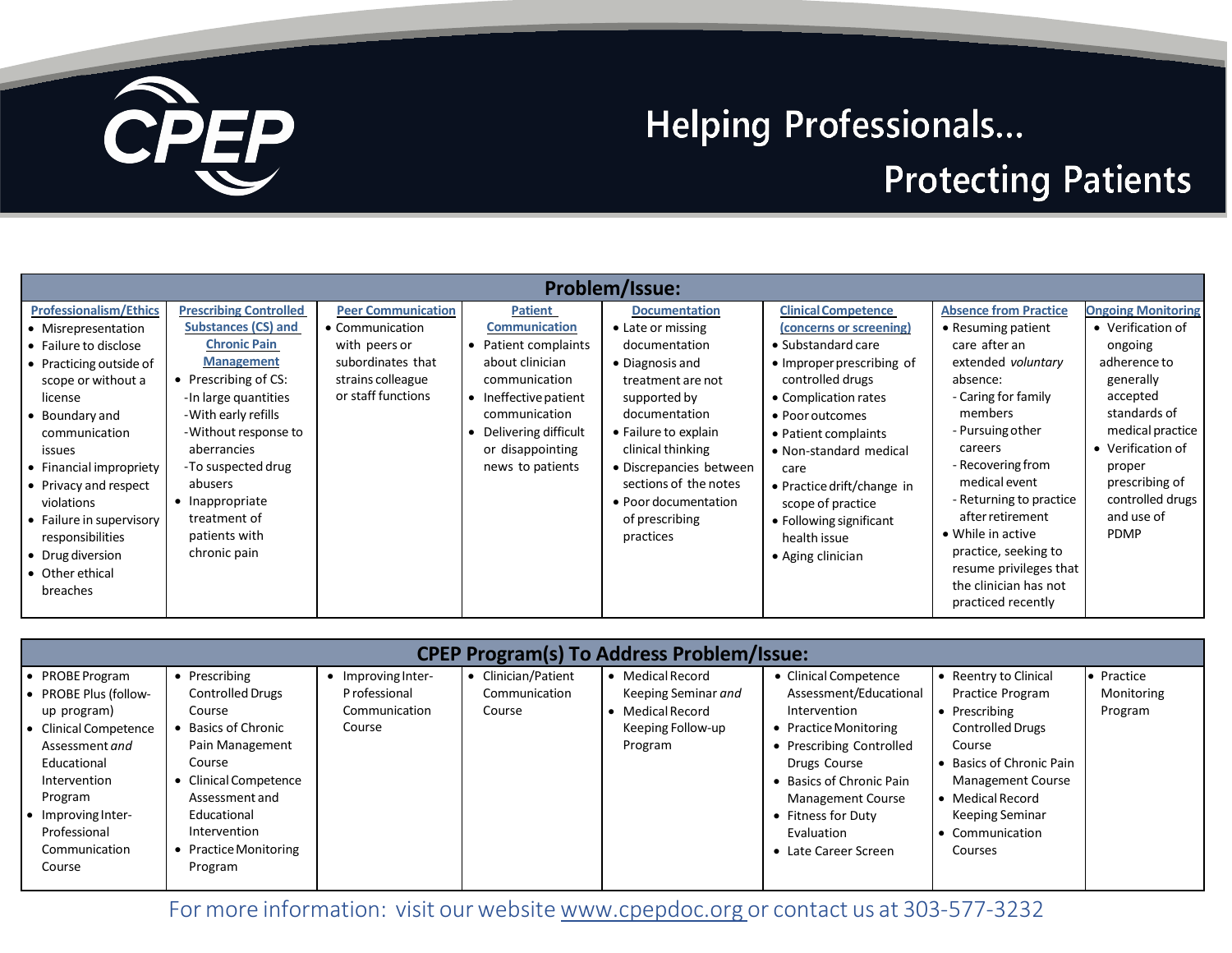

## **Helping Professionals...**

## **Protecting Patients**

| Problem/Issue:                                                                                                                                                                                                                                                                                                                                              |                                                                                                                                                                                                                                                                                                                             |                                                                                                                               |                                                                                                                                                                                                              |                                                                                                                                                                                                                                                                                             |                                                                                                                                                                                                                                                                                                                                                      |                                                                                                                                                                                                                                                                                                                                                                                   |                                                                                                                                                                                                                                          |  |  |
|-------------------------------------------------------------------------------------------------------------------------------------------------------------------------------------------------------------------------------------------------------------------------------------------------------------------------------------------------------------|-----------------------------------------------------------------------------------------------------------------------------------------------------------------------------------------------------------------------------------------------------------------------------------------------------------------------------|-------------------------------------------------------------------------------------------------------------------------------|--------------------------------------------------------------------------------------------------------------------------------------------------------------------------------------------------------------|---------------------------------------------------------------------------------------------------------------------------------------------------------------------------------------------------------------------------------------------------------------------------------------------|------------------------------------------------------------------------------------------------------------------------------------------------------------------------------------------------------------------------------------------------------------------------------------------------------------------------------------------------------|-----------------------------------------------------------------------------------------------------------------------------------------------------------------------------------------------------------------------------------------------------------------------------------------------------------------------------------------------------------------------------------|------------------------------------------------------------------------------------------------------------------------------------------------------------------------------------------------------------------------------------------|--|--|
| <b>Professionalism/Ethics</b><br>• Misrepresentation<br>• Failure to disclose<br>• Practicing outside of<br>scope or without a<br>license<br>• Boundary and<br>communication<br>issues<br>• Financial impropriety<br>• Privacy and respect<br>violations<br>• Failure in supervisory<br>responsibilities<br>• Drug diversion<br>• Other ethical<br>breaches | <b>Prescribing Controlled</b><br><b>Substances (CS) and</b><br><b>Chronic Pain</b><br><b>Management</b><br>• Prescribing of CS:<br>-In large quantities<br>- With early refills<br>-Without response to<br>aberrancies<br>-To suspected drug<br>abusers<br>• Inappropriate<br>treatment of<br>patients with<br>chronic pain | <b>Peer Communication</b><br>• Communication<br>with peers or<br>subordinates that<br>strains colleague<br>or staff functions | <b>Patient</b><br><b>Communication</b><br>• Patient complaints<br>about clinician<br>communication<br>• Ineffective patient<br>communication<br>Delivering difficult<br>or disappointing<br>news to patients | <b>Documentation</b><br>• Late or missing<br>documentation<br>• Diagnosis and<br>treatment are not<br>supported by<br>documentation<br>• Failure to explain<br>clinical thinking<br>• Discrepancies between<br>sections of the notes<br>• Poor documentation<br>of prescribing<br>practices | <b>Clinical Competence</b><br>(concerns or screening)<br>• Substandard care<br>• Improper prescribing of<br>controlled drugs<br>• Complication rates<br>• Poor outcomes<br>• Patient complaints<br>• Non-standard medical<br>care<br>• Practice drift/change in<br>scope of practice<br>• Following significant<br>health issue<br>• Aging clinician | <b>Absence from Practice</b><br>• Resuming patient<br>care after an<br>extended voluntary<br>absence:<br>- Caring for family<br>members<br>- Pursuing other<br>careers<br>- Recovering from<br>medical event<br>- Returning to practice<br>after retirement<br>• While in active<br>practice, seeking to<br>resume privileges that<br>the clinician has not<br>practiced recently | <b>Ongoing Monitoring</b><br>• Verification of<br>ongoing<br>adherence to<br>generally<br>accepted<br>standards of<br>medical practice<br>• Verification of<br>proper<br>prescribing of<br>controlled drugs<br>and use of<br><b>PDMP</b> |  |  |

| <b>CPEP Program(s) To Address Problem/Issue:</b>                                                                                                                                                                    |                                                                                                                                                                                                                     |                                                              |                                                |                                                                                             |                                                                                                                                                                                                                                                          |                                                                                                                                                                                                                               |                                     |  |
|---------------------------------------------------------------------------------------------------------------------------------------------------------------------------------------------------------------------|---------------------------------------------------------------------------------------------------------------------------------------------------------------------------------------------------------------------|--------------------------------------------------------------|------------------------------------------------|---------------------------------------------------------------------------------------------|----------------------------------------------------------------------------------------------------------------------------------------------------------------------------------------------------------------------------------------------------------|-------------------------------------------------------------------------------------------------------------------------------------------------------------------------------------------------------------------------------|-------------------------------------|--|
| PROBE Program<br><b>PROBE Plus (follow-</b><br>up program)<br><b>Clinical Competence</b><br>Assessment and<br>Educational<br>Intervention<br>Program<br>Improving Inter-<br>Professional<br>Communication<br>Course | Prescribing<br><b>Controlled Drugs</b><br>Course<br><b>Basics of Chronic</b><br>Pain Management<br>Course<br>Clinical Competence<br>Assessment and<br>Educational<br>Intervention<br>Practice Monitoring<br>Program | Improving Inter-<br>P rofessional<br>Communication<br>Course | • Clinician/Patient<br>Communication<br>Course | • Medical Record<br>Keeping Seminar and<br>• Medical Record<br>Keeping Follow-up<br>Program | • Clinical Competence<br>Assessment/Educational<br>Intervention<br>• Practice Monitoring<br>• Prescribing Controlled<br>Drugs Course<br>• Basics of Chronic Pain<br><b>Management Course</b><br>• Fitness for Duty<br>Evaluation<br>• Late Career Screen | • Reentry to Clinical<br>Practice Program<br>• Prescribing<br><b>Controlled Drugs</b><br>Course<br>Basics of Chronic Pain<br><b>Management Course</b><br>Medical Record<br><b>Keeping Seminar</b><br>Communication<br>Courses | • Practice<br>Monitoring<br>Program |  |

For more information: visit our website [www.cpepdoc.org](http://www.cpepdoc.org/) or contact us at 303-577-3232